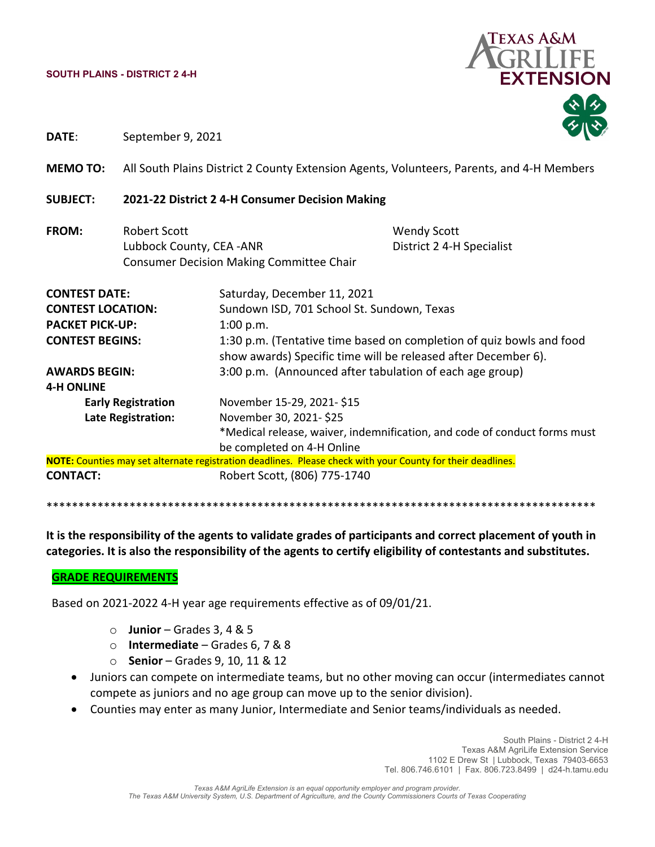#### **SOUTH PLAINS - DISTRICT 2 4-H**



**DATE**: September 9, 2021

**MEMO TO:** All South Plains District 2 County Extension Agents, Volunteers, Parents, and 4‐H Members

### **SUBJECT: 2021‐22 District 2 4‐H Consumer Decision Making**

**FROM:** Robert Scott Wendy Scott Lubbock County, CEA ‐ANR District 2 4‐H Specialist Consumer Decision Making Committee Chair

**CONTEST DATE:** Saturday, December 11, 2021 **CONTEST LOCATION:** Sundown ISD, 701 School St. Sundown, Texas **PACKET PICK‐UP:**  1:00 p.m. **CONTEST BEGINS: 1:30 p.m.** (Tentative time based on completion of quiz bowls and food show awards) Specific time will be released after December 6). **AWARDS BEGIN:** 3:00 p.m. (Announced after tabulation of each age group) **4‐H ONLINE Early Registration** November 15‐29, 2021‐ \$15 **Late Registration:** November 30, 2021‐ \$25 \*Medical release, waiver, indemnification, and code of conduct forms must be completed on 4‐H Online **NOTE:** Counties may set alternate registration deadlines. Please check with your County for their deadlines. **CONTACT:** Robert Scott, (806) 775‐1740

\*\*\*\*\*\*\*\*\*\*\*\*\*\*\*\*\*\*\*\*\*\*\*\*\*\*\*\*\*\*\*\*\*\*\*\*\*\*\*\*\*\*\*\*\*\*\*\*\*\*\*\*\*\*\*\*\*\*\*\*\*\*\*\*\*\*\*\*\*\*\*\*\*\*\*\*\*\*\*\*\*\*\*\*\*\*

It is the responsibility of the agents to validate grades of participants and correct placement of youth in **categories. It is also the responsibility of the agents to certify eligibility of contestants and substitutes.**

#### **GRADE REQUIREMENTS**

Based on 2021‐2022 4‐H year age requirements effective as of 09/01/21.

- o **Junior** Grades 3, 4 & 5
- o **Intermediate** Grades 6, 7 & 8
- o **Senior** Grades 9, 10, 11 & 12
- Juniors can compete on intermediate teams, but no other moving can occur (intermediates cannot compete as juniors and no age group can move up to the senior division).
- Counties may enter as many Junior, Intermediate and Senior teams/individuals as needed.